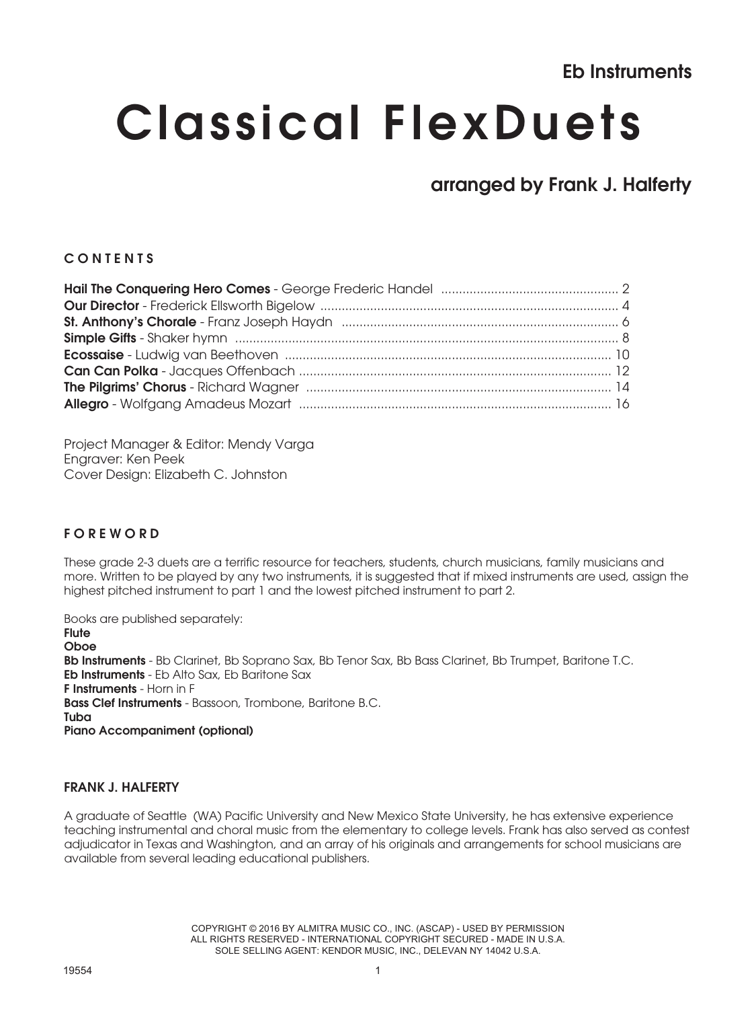# Classical FlexDuets

#### arranged by Frank J. Halferty

#### **CONTENTS**

Project Manager & Editor: Mendy Varga Engraver: Ken Peek Cover Design: Elizabeth C. Johnston

#### F O R E W O R D

These grade 2-3 duets are a terrific resource for teachers, students, church musicians, family musicians and more. Written to be played by any two instruments, it is suggested that if mixed instruments are used, assign the highest pitched instrument to part 1 and the lowest pitched instrument to part 2.

Books are published separately: **Flute** Ohoe Bb Instruments - Bb Clarinet, Bb Soprano Sax, Bb Tenor Sax, Bb Bass Clarinet, Bb Trumpet, Baritone T.C. Eb Instruments - Eb Alto Sax, Eb Baritone Sax F Instruments - Horn in F **Bass Clef Instruments** - Bassoon, Trombone, Baritone B.C. Tuba Piano Accompaniment (optional)

#### FRANK J. HALFERTY

A graduate of Seattle (WA) Pacific University and New Mexico State University, he has extensive experience teaching instrumental and choral music from the elementary to college levels. Frank has also served as contest adjudicator in Texas and Washington, and an array of his originals and arrangements for school musicians are available from several leading educational publishers.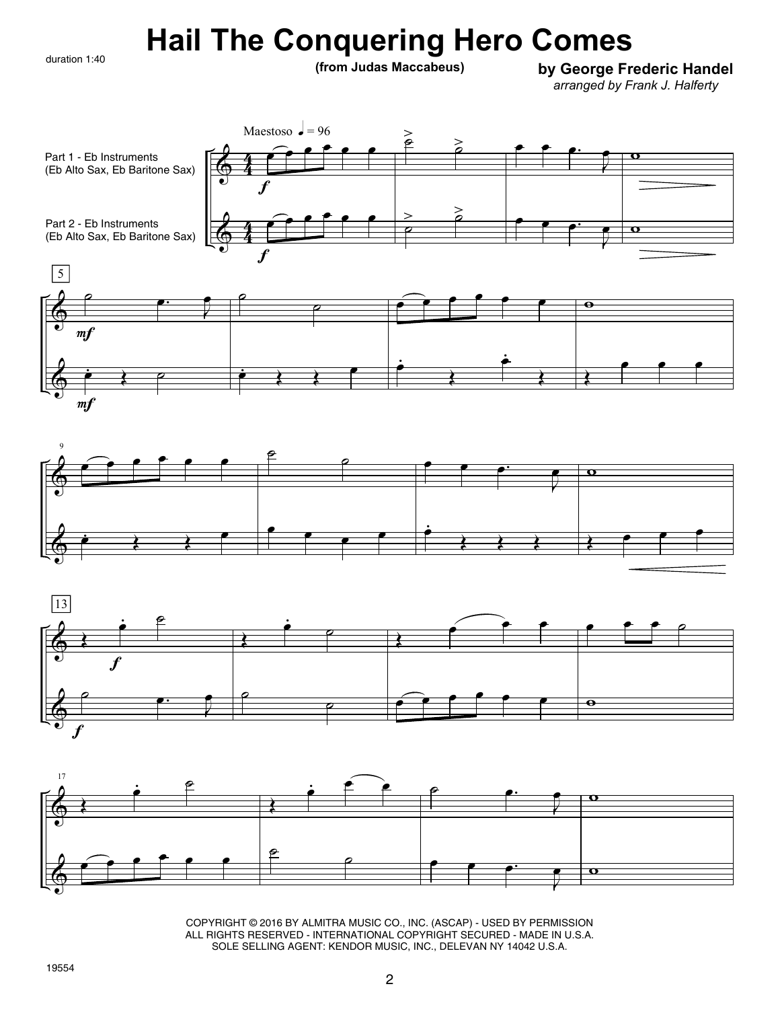#### **Hail The Conquering Hero Comes** duration 1:40 **(from Judas Maccabeus)**

**by George Frederic Handel** *arranged by Frank J. Halferty*

 $\Phi$  $\Phi$ 4 4 4 4 Part 1 - Eb Instruments (Eb Alto Sax, Eb Baritone Sax) Part 2 - Eb Instruments (Eb Alto Sax, Eb Baritone Sax) 。。。。。。。<br>● ● ● ● ● ● ●  $e^e$   $e^e$   $e^e$ f f Maestoso  $\sqrt{ }$  = 96 )<br>P  $\geq$  $\geq$  $\frac{2}{5}$  $\geq$   $\geq$  $\geq$ œ œ œ. ₹ œ œ œ œ. J e<br>R w w  $\Phi$  $\Phi$ 5 ˙ œ. ₹ œ œ .  $\leftarrow$ mf  $m f$ ˙ <br>P œ .  $\begin{array}{c} \begin{array}{c} \hline \end{array} & \hline \end{array}$  $\widehat{\cdot}$   $\cdot$   $\cdot$   $\cdot$   $\cdot$ œ . Œ œ . Œ  $\bullet$ Œ œ œ œ





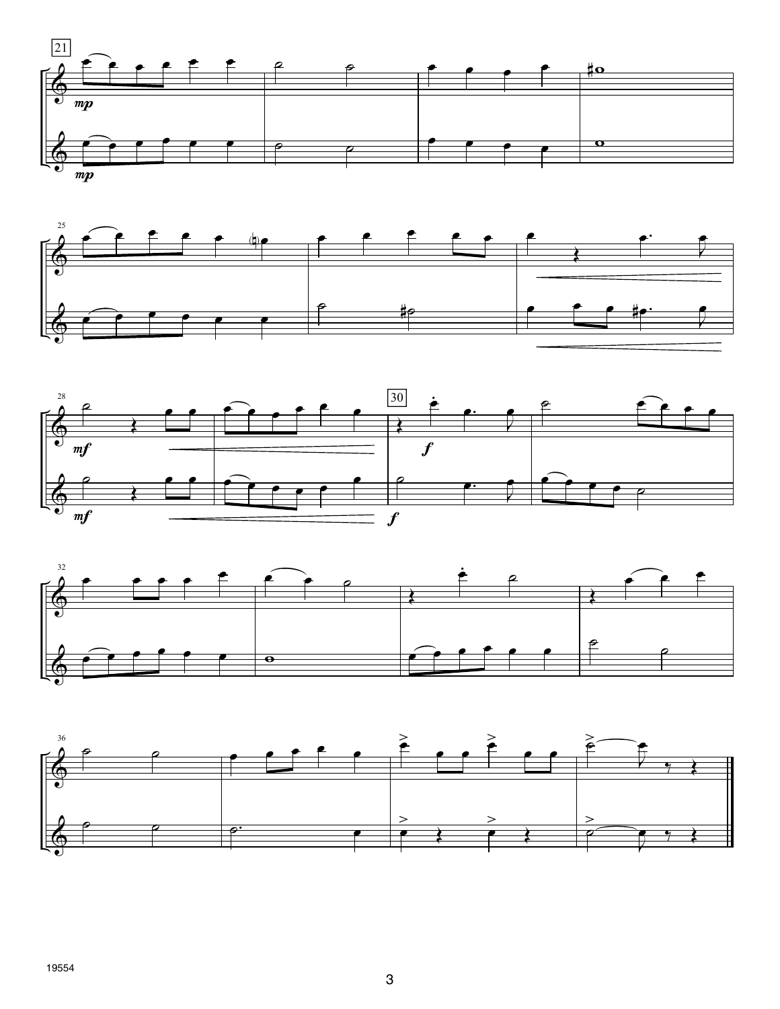







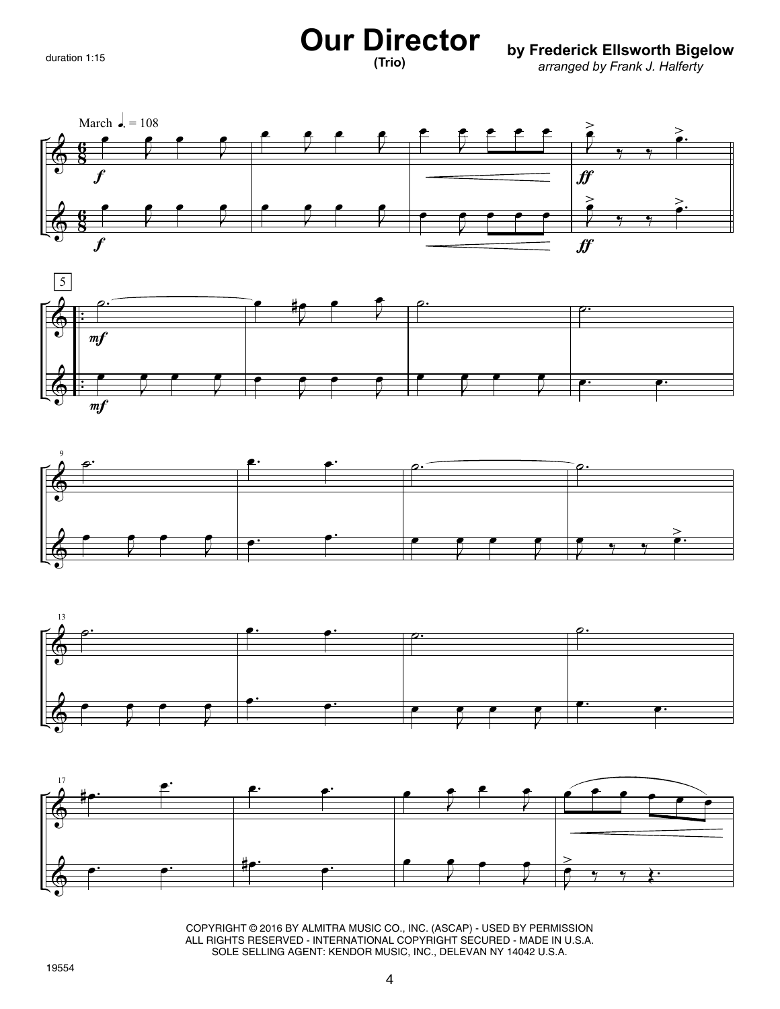#### **Our Director by Frederick Ellsworth Bigelow (Trio)**

# **by Frederick Ellsworth Bigelow**<br>*arranged by Frank J. Halferty*









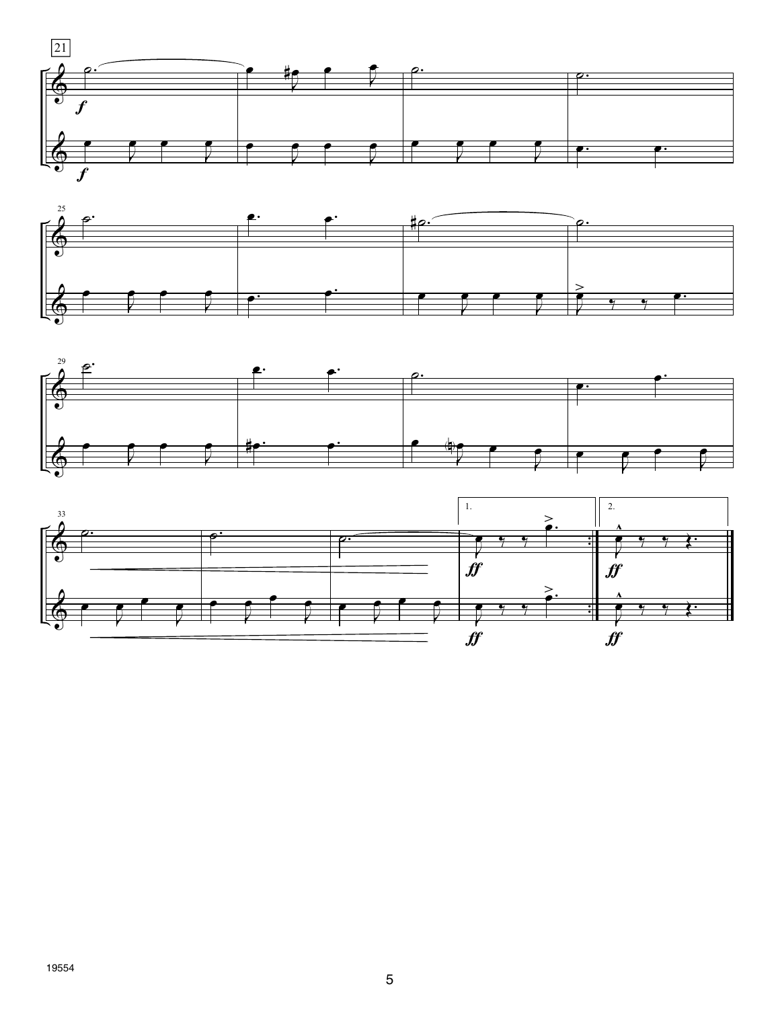





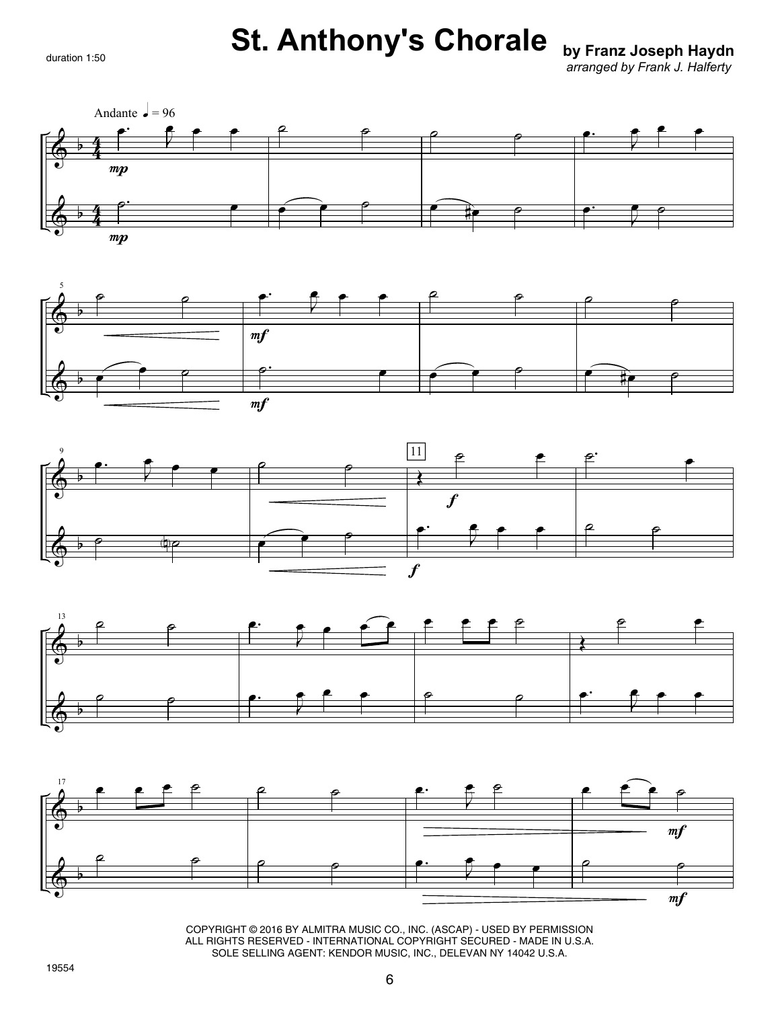duration 1:50

# **St. Anthony's Chorale by Franz Joseph Haydn**

*arranged by Frank J. Halferty*









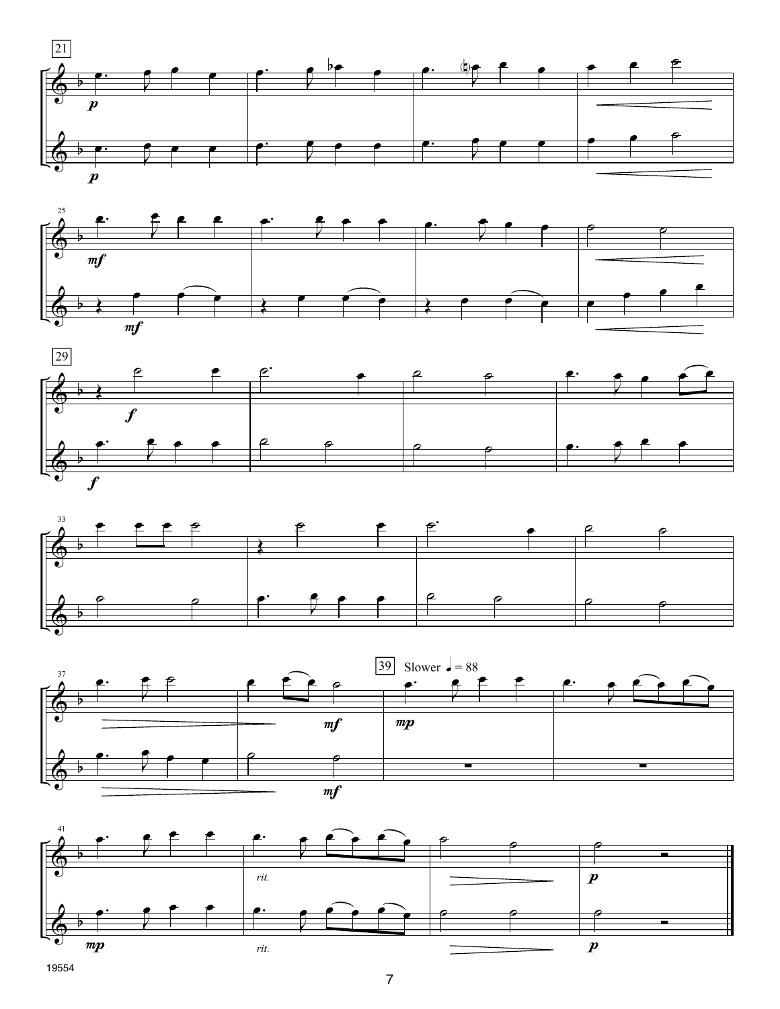









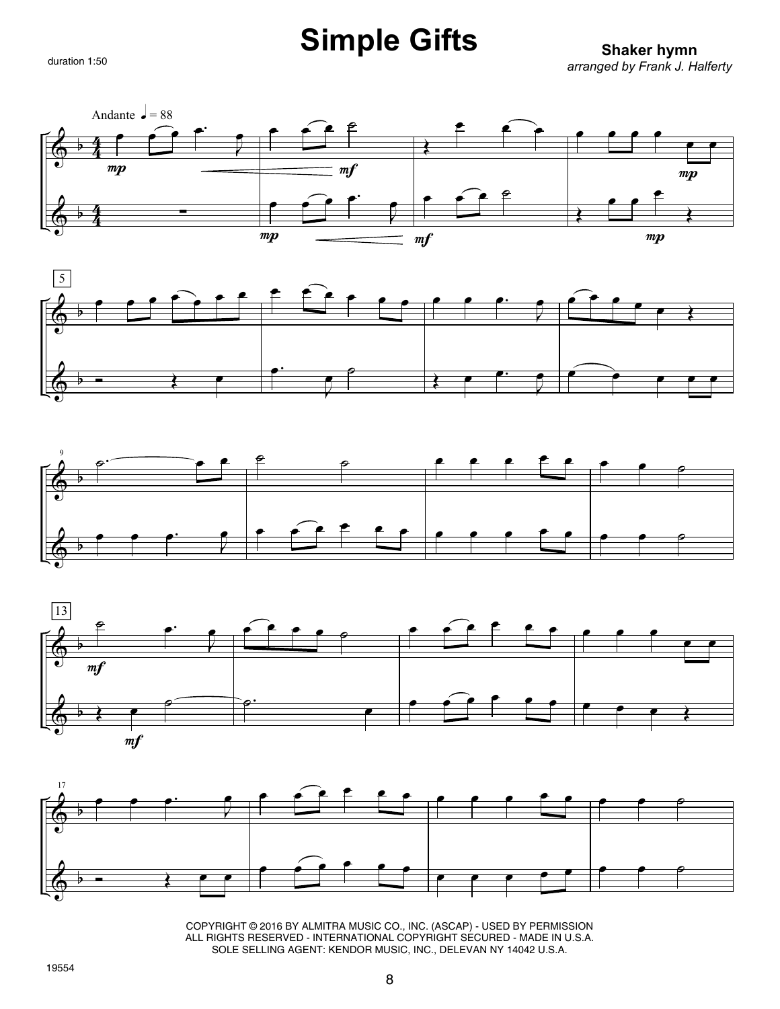# **Simple Gifts** Shaker hymn











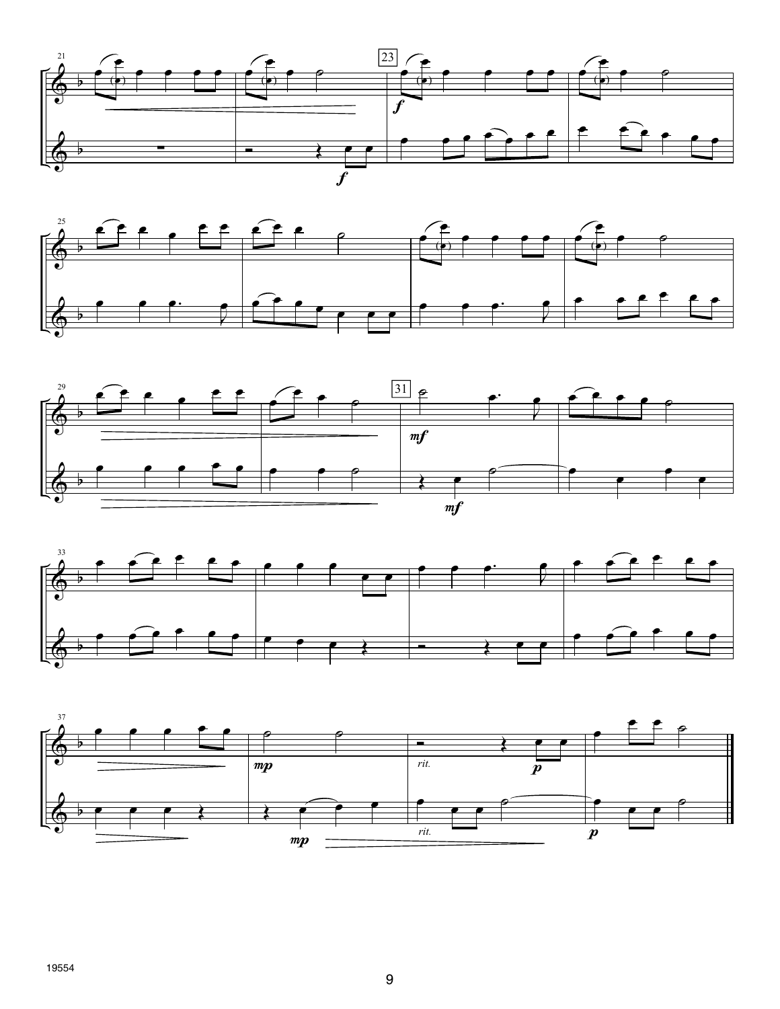







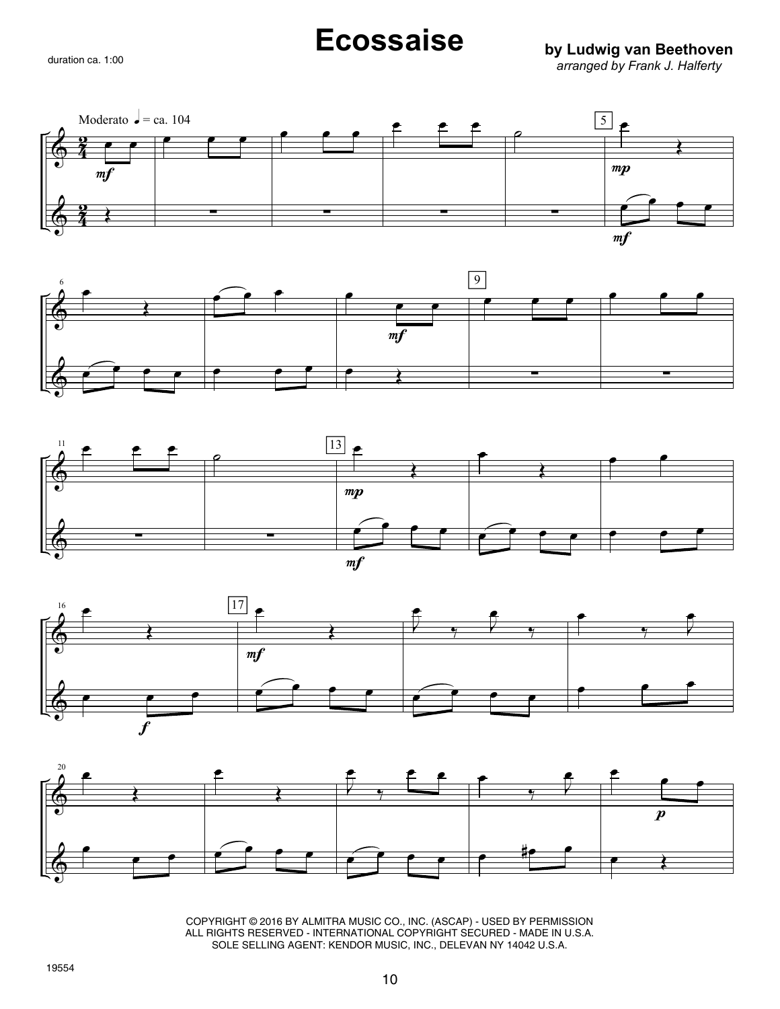### **Ecossaise**









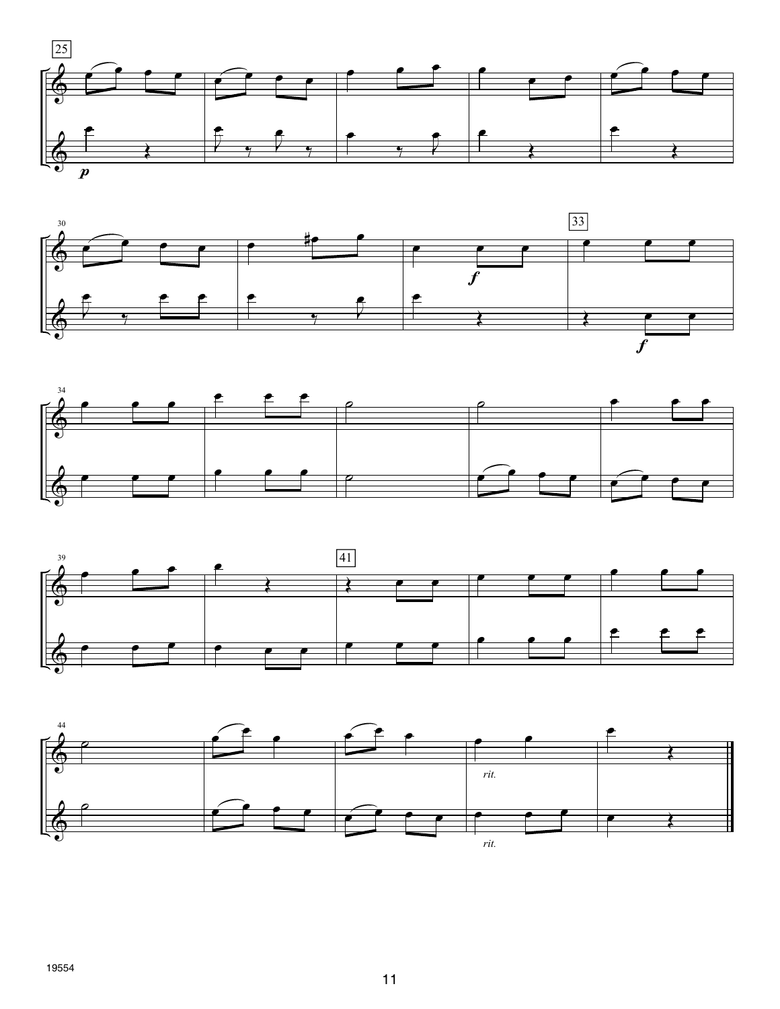







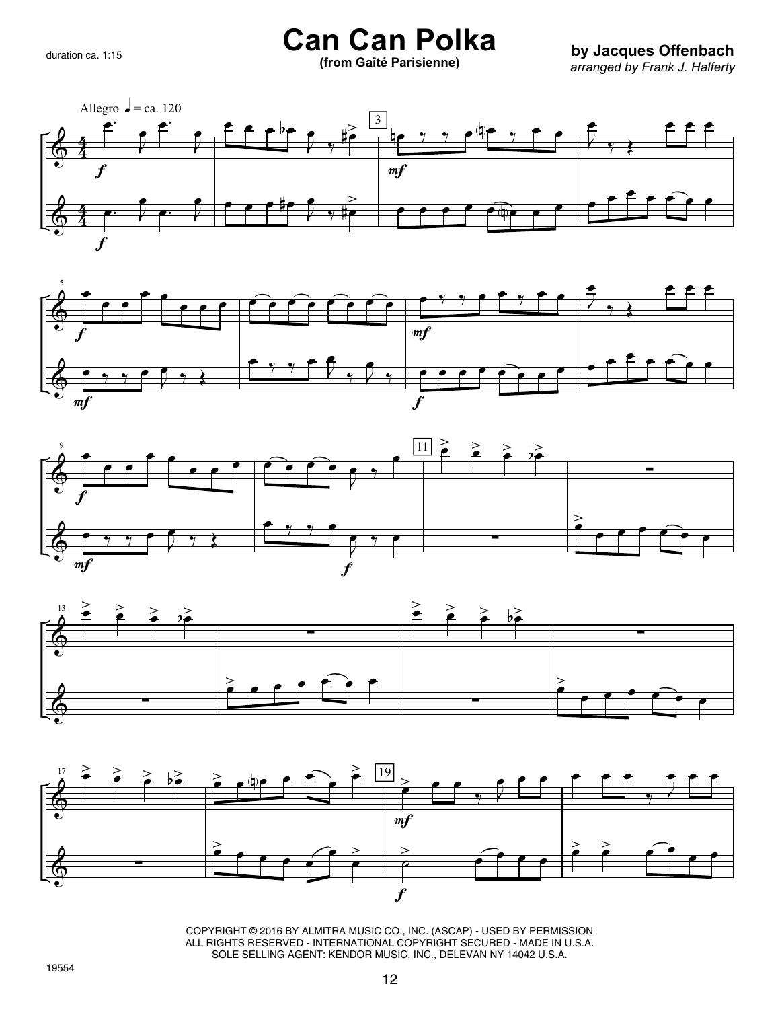## **Can Can Polka by Jacques Offenbach**

*arranged by Frank J. Halferty*

**(from Gaîté Parisienne)**









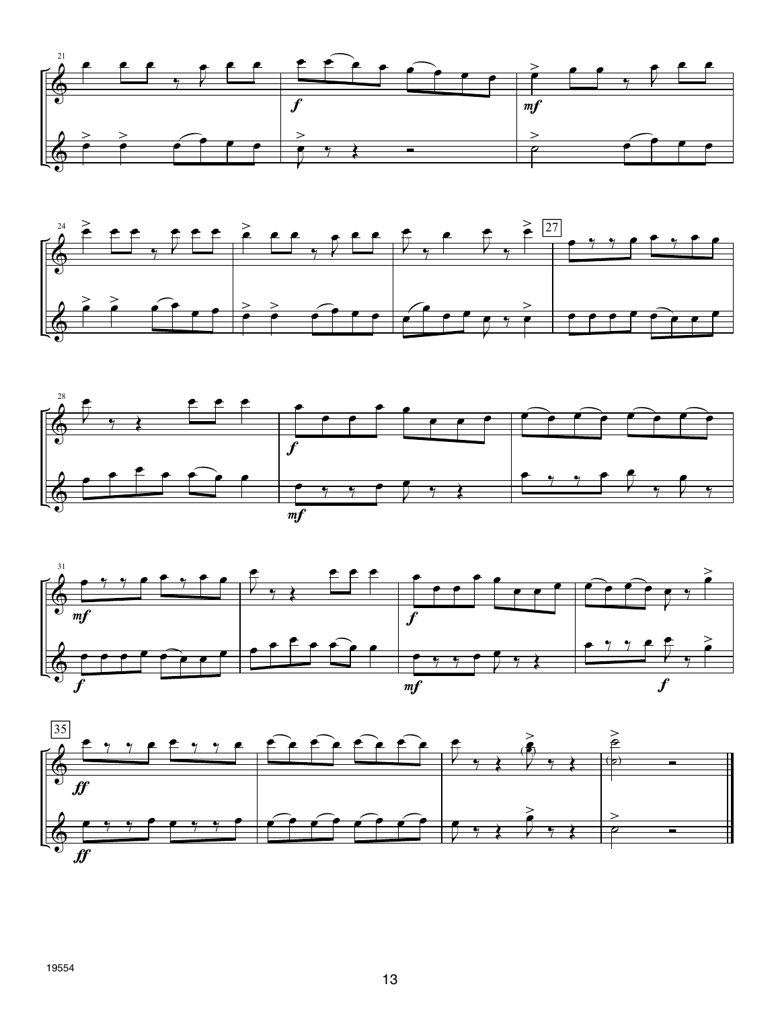







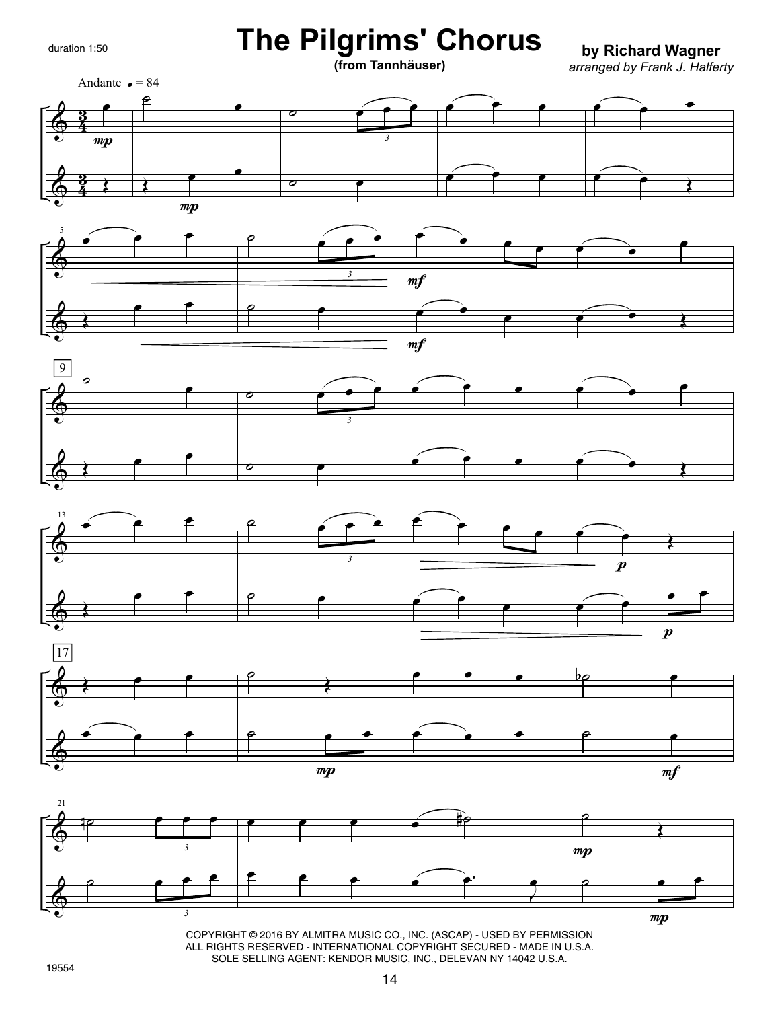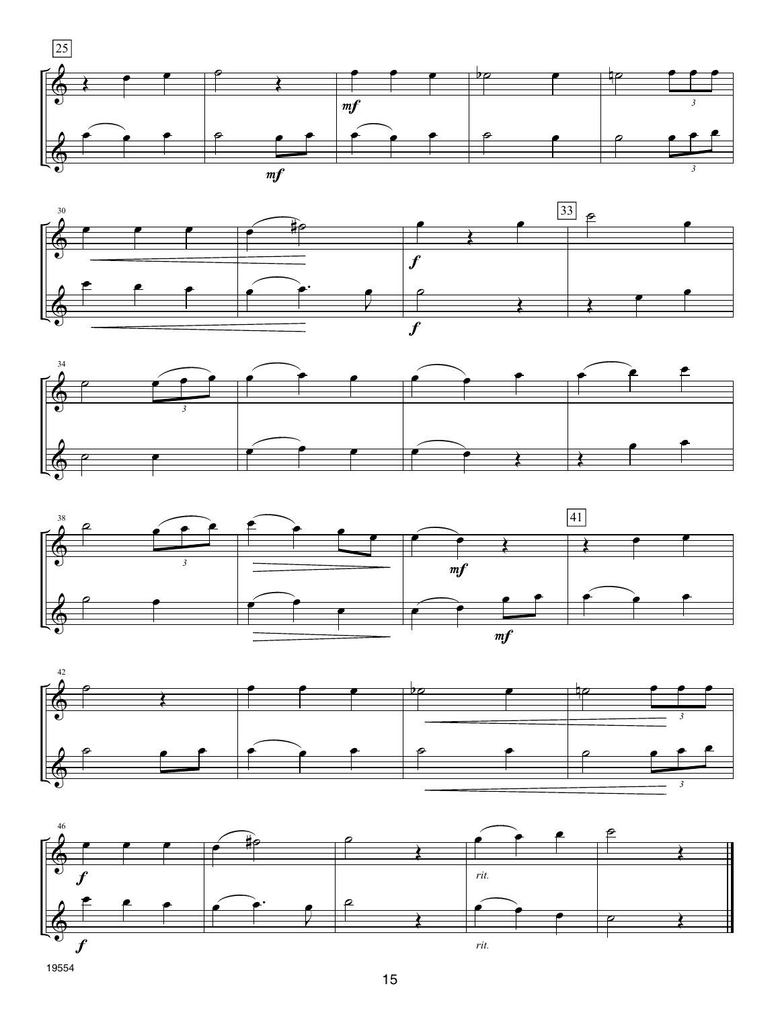